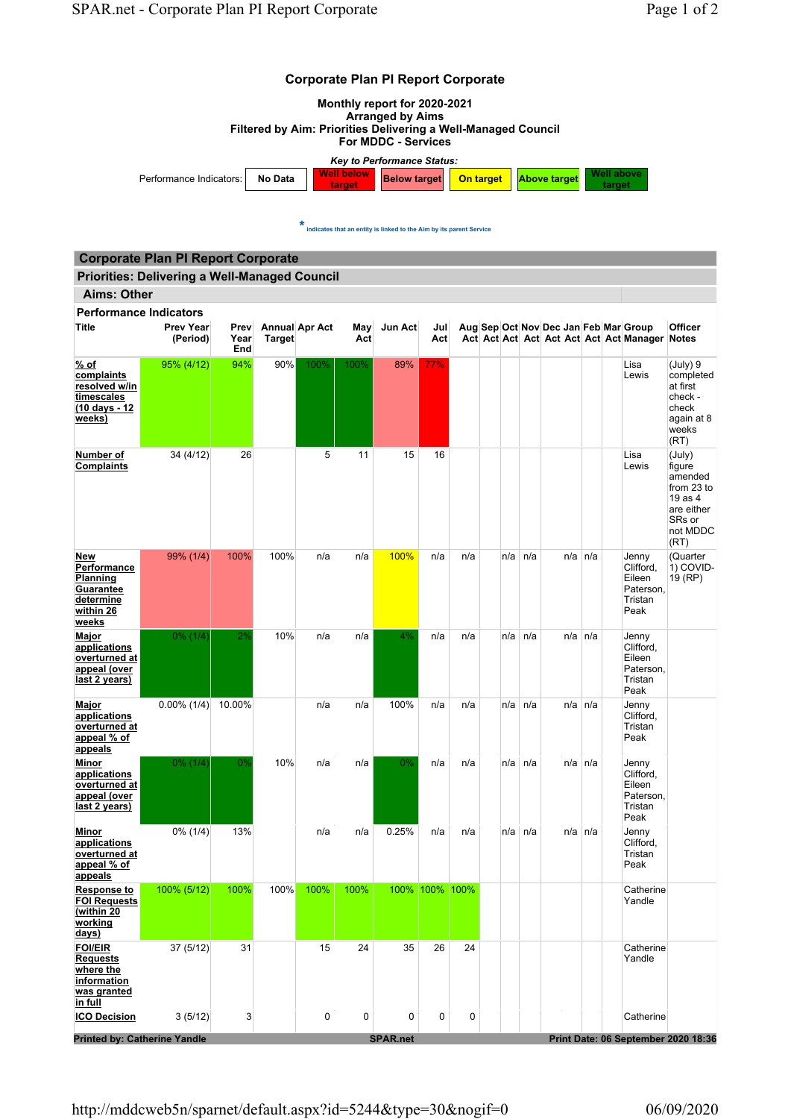## Corporate Plan PI Report Corporate



 $\star$  indicates that an entity is linked to the Aim by its parent Service

## Priorities: Delivering a Well-Managed Council Corporate Plan PI Report Corporate

| <b>Aims: Other</b>                                                                           |                              |                     |        |                       |            |                 |                |     |     |                |              |  |                                                                                        |                                                                                                  |
|----------------------------------------------------------------------------------------------|------------------------------|---------------------|--------|-----------------------|------------|-----------------|----------------|-----|-----|----------------|--------------|--|----------------------------------------------------------------------------------------|--------------------------------------------------------------------------------------------------|
| <b>Performance Indicators</b>                                                                |                              |                     |        |                       |            |                 |                |     |     |                |              |  |                                                                                        |                                                                                                  |
| Title                                                                                        | <b>Prev Year</b><br>(Period) | Prev<br>Year<br>End | Target | <b>Annual Apr Act</b> | May<br>Act | Jun Act         | Jul<br>Act     |     |     |                |              |  | Aug Sep Oct Nov Dec Jan Feb Mar Group<br>Act Act Act Act Act Act Act Act Manager Notes | <b>Officer</b>                                                                                   |
| <u>% of</u><br>complaints<br>resolved w/in<br>timescales<br>(10 days - 12<br>weeks)          | 95% (4/12)                   | 94%                 | 90%    | 100%                  | 100%       | 89%             | 77%            |     |     |                |              |  | Lisa<br>Lewis                                                                          | (July) 9<br>completed<br>at first<br>check -<br>check<br>again at 8<br>weeks<br>(RT)             |
| Number of<br>Complaints                                                                      | 34 (4/12)                    | 26                  |        | 5                     | 11         | 15              | 16             |     |     |                |              |  | Lisa<br>Lewis                                                                          | (July)<br>figure<br>amended<br>from 23 to<br>19 as 4<br>are either<br>SRs or<br>not MDDC<br>(RT) |
| New<br><b>Performance</b><br>Planning<br><b>Guarantee</b><br>determine<br>within 26<br>weeks | 99% (1/4)                    | 100%                | 100%   | n/a                   | n/a        | 100%            | n/a            | n/a |     | $n/a \mid n/a$ | $n/a \, n/a$ |  | Jenny<br>Clifford,<br>Eileen<br>Paterson.<br>Tristan<br>Peak                           | (Quarter<br>1) COVID-<br>19 (RP)                                                                 |
| Major<br>applications<br>overturned at<br>appeal (over<br>last 2 years)                      | $0\%$ (1/4)                  | 2%                  | 10%    | n/a                   | n/a        | 4%              | n/a            | n/a |     | $n/a \mid n/a$ | $n/a \, n/a$ |  | Jenny<br>Clifford,<br>Eileen<br>Paterson,<br>Tristan<br>Peak                           |                                                                                                  |
| Major<br><u>applications</u><br>overturned at<br>appeal % of<br>appeals                      | $0.00\%$ (1/4)               | 10.00%              |        | n/a                   | n/a        | 100%            | n/a            | n/a | n/a | n/a            | $n/a$ $n/a$  |  | Jenny<br>Clifford,<br>Tristan<br>Peak                                                  |                                                                                                  |
| Minor<br>applications<br>overturned at<br>appeal (over<br>last 2 years)                      | $0\%$ (1/4)                  | 0%                  | 10%    | n/a                   | n/a        | 0%              | n/a            | n/a |     | $n/a \mid n/a$ | $n/a \, n/a$ |  | Jenny<br>Clifford,<br>Eileen<br>Paterson,<br>Tristan<br>Peak                           |                                                                                                  |
| Minor<br><u>applications</u><br>overturned at<br>appeal % of<br><u>appeals</u>               | $0\%$ (1/4)                  | 13%                 |        | n/a                   | n/a        | 0.25%           | n/a            | n/a |     | $n/a \mid n/a$ | $n/a$ $n/a$  |  | Jenny<br>Clifford,<br>Tristan<br>Peak                                                  |                                                                                                  |
| Response to<br><b>FOI Requests</b><br>(within 20<br>working<br>days)                         | 100% (5/12)                  | 100%                | 100%   | 100%                  | 100%       |                 | 100% 100% 100% |     |     |                |              |  | Catherine<br>Yandle                                                                    |                                                                                                  |
| <b>FOI/EIR</b><br><b>Requests</b><br>where the<br>information<br>was granted<br>in full      | 37 (5/12)                    | 31                  |        | 15                    | 24         | 35              | 26             | 24  |     |                |              |  | Catherine<br>Yandle                                                                    |                                                                                                  |
| <b>ICO Decision</b>                                                                          | 3(5/12)                      | 3                   |        | 0                     | 0          | 0               | 0              | 0   |     |                |              |  | Catherine                                                                              |                                                                                                  |
| <b>Printed by: Catherine Yandle</b>                                                          |                              |                     |        |                       |            | <b>SPAR.net</b> |                |     |     |                |              |  |                                                                                        | Print Date: 06 September 2020 18:36                                                              |